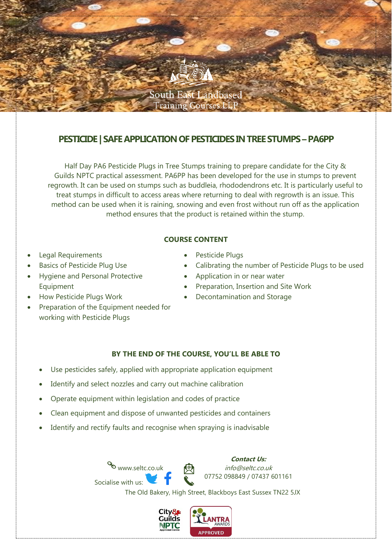

# **PESTICIDE | SAFE APPLICATION OF PESTICIDESIN TREE STUMPS –PA6PP**

Half Day PA6 Pesticide Plugs in Tree Stumps training to prepare candidate for the City & Guilds NPTC practical assessment. PA6PP has been developed for the use in stumps to prevent regrowth. It can be used on stumps such as buddleia, rhododendrons etc. It is particularly useful to treat stumps in difficult to access areas where returning to deal with regrowth is an issue. This method can be used when it is raining, snowing and even frost without run off as the application method ensures that the product is retained within the stump.

### **COURSE CONTENT**

- Legal Requirements
- Basics of Pesticide Plug Use
- Hygiene and Personal Protective Equipment
- How Pesticide Plugs Work
- Preparation of the Equipment needed for working with Pesticide Plugs
- Pesticide Plugs
- Calibrating the number of Pesticide Plugs to be used
- Application in or near water
- Preparation, Insertion and Site Work
- Decontamination and Storage

### **BY THE END OF THE COURSE, YOU'LL BE ABLE TO**

- Use pesticides safely, applied with appropriate application equipment
- Identify and select nozzles and carry out machine calibration
- Operate equipment within legislation and codes of practice
- Clean equipment and dispose of unwanted pesticides and containers
- Identify and rectify faults and recognise when spraying is inadvisable

www.seltc.co.uk Socialise with us:

**Contact Us:** info@seltc.co.uk 07752 098849 / 07437 601161

The Old Bakery, High Street, Blackboys East Sussex TN22 5JX